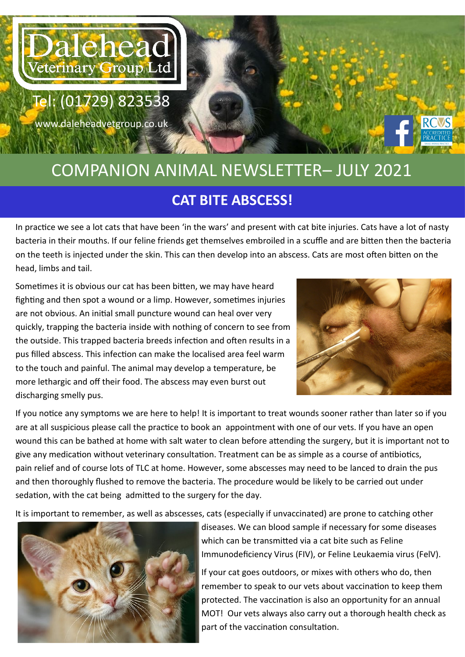

www.daleheadvetgroup.co.uk

## COMPANION ANIMAL NEWSLETTER– JULY 2021 **CAT BITE ABSCESS!**

In practice we see a lot cats that have been 'in the wars' and present with cat bite injuries. Cats have a lot of nasty bacteria in their mouths. If our feline friends get themselves embroiled in a scuffle and are bitten then the bacteria on the teeth is injected under the skin. This can then develop into an abscess. Cats are most often bitten on the head, limbs and tail.

Sometimes it is obvious our cat has been bitten, we may have heard fighting and then spot a wound or a limp. However, sometimes injuries are not obvious. An initial small puncture wound can heal over very quickly, trapping the bacteria inside with nothing of concern to see from the outside. This trapped bacteria breeds infection and often results in a pus filled abscess. This infection can make the localised area feel warm to the touch and painful. The animal may develop a temperature, be more lethargic and off their food. The abscess may even burst out discharging smelly pus.



If you notice any symptoms we are here to help! It is important to treat wounds sooner rather than later so if you are at all suspicious please call the practice to book an appointment with one of our vets. If you have an open wound this can be bathed at home with salt water to clean before attending the surgery, but it is important not to give any medication without veterinary consultation. Treatment can be as simple as a course of antibiotics, pain relief and of course lots of TLC at home. However, some abscesses may need to be lanced to drain the pus and then thoroughly flushed to remove the bacteria. The procedure would be likely to be carried out under sedation, with the cat being admitted to the surgery for the day.

It is important to remember, as well as abscesses, cats (especially if unvaccinated) are prone to catching other



diseases. We can blood sample if necessary for some diseases which can be transmitted via a cat bite such as Feline Immunodeficiency Virus (FIV), or Feline Leukaemia virus (FelV).

If your cat goes outdoors, or mixes with others who do, then remember to speak to our vets about vaccination to keep them protected. The vaccination is also an opportunity for an annual MOT! Our vets always also carry out a thorough health check as part of the vaccination consultation.